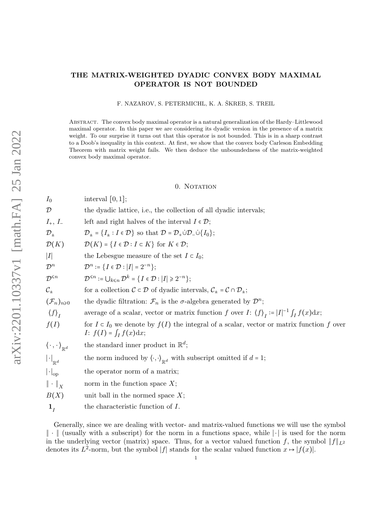## THE MATRIX-WEIGHTED DYADIC CONVEX BODY MAXIMAL OPERATOR IS NOT BOUNDED

F. NAZAROV, S. PETERMICHL, K. A. ŠKREB, S. TREIL

Abstract. The convex body maximal operator is a natural generalization of the Hardy–Littlewood maximal operator. In this paper we are considering its dyadic version in the presence of a matrix weight. To our surprise it turns out that this operator is not bounded. This is in a sharp contrast to a Doob's inequality in this context. At first, we show that the convex body Carleson Embedding Theorem with matrix weight fails. We then deduce the unboundedness of the matrix-weighted convex body maximal operator.

#### 0. NOTATION

| $I_0$                                                      | interval $[0,1]$ ;                                                                                                                                 |
|------------------------------------------------------------|----------------------------------------------------------------------------------------------------------------------------------------------------|
| ${\cal D}$                                                 | the dyadic lattice, i.e., the collection of all dyadic intervals;                                                                                  |
| $I_+, I_-$                                                 | left and right halves of the interval $I \in \mathcal{D}$ ;                                                                                        |
| $\mathcal{D}_{\pm}$                                        | $\mathcal{D}_{\pm} = \{I_{\pm} : I \in \mathcal{D}\}\$ so that $\mathcal{D} = \mathcal{D}_{+} \dot{\cup} \mathcal{D}_{-} \dot{\cup} \{I_{0}\}\; ;$ |
| $\mathcal{D}(K)$                                           | $\mathcal{D}(K) = \{I \in \mathcal{D} : I \subset K\}$ for $K \in \mathcal{D}$ ;                                                                   |
| I                                                          | the Lebesgue measure of the set $I \subset I_0$ ;                                                                                                  |
| $\mathcal{D}^n$                                            | $\mathcal{D}^n := \{I \in \mathcal{D} :  I  = 2^{-n}\};$                                                                                           |
| $\mathcal{D}^{\leq n}$                                     | $\mathcal{D}^{\leq n} := \bigcup_{k \leq n} \mathcal{D}^k = \{I \in \mathcal{D} :  I  \geq 2^{-n}\};$                                              |
| $\mathcal{C}_{\pm}$                                        | for a collection $C \subset \mathcal{D}$ of dyadic intervals, $C_{\pm} = C \cap \mathcal{D}_{\pm}$ ;                                               |
| $(\mathcal{F}_n)_{n\geq 0}$                                | the dyadic filtration: $\mathcal{F}_n$ is the $\sigma$ -algebra generated by $\mathcal{D}^n$ ;                                                     |
| $\langle f \rangle_I$                                      | average of a scalar, vector or matrix function f over I: $\langle f \rangle_I :=  I ^{-1} \int_I f(x) dx$ ;                                        |
| f(I)                                                       | for $I \subset I_0$ we denote by $f(I)$ the integral of a scalar, vector or matrix function f over<br>$I: f(I) = \int_I f(x) dx;$                  |
| $\langle \, \cdot \, , \, \cdot \, \rangle_{\mathbb{R}^d}$ | the standard inner product in $\mathbb{R}^d$ ;                                                                                                     |
| $\left\  \cdot \right\ _{\mathbb{R}^d}$                    | the norm induced by $\langle \cdot, \cdot \rangle_{\mathbb{R}^d}$ with subscript omitted if $d = 1$ ;                                              |
| $\left  \cdot \right _{\text{op}}$                         | the operator norm of a matrix;                                                                                                                     |
| $\ \cdot\ _X$                                              | norm in the function space $X$ ;                                                                                                                   |
| B(X)                                                       | unit ball in the normed space $X$ ;                                                                                                                |
| $\mathbf{1}_I$                                             | the characteristic function of $I$ .                                                                                                               |
|                                                            |                                                                                                                                                    |

Generally, since we are dealing with vector- and matrix-valued functions we will use the symbol ∥ ⋅ ∥ (usually with a subscript) for the norm in a functions space, while ∣ ⋅ ∣ is used for the norm in the underlying vector (matrix) space. Thus, for a vector valued function f, the symbol  $||f||_{L^2}$ denotes its  $L^2$ -norm, but the symbol |f| stands for the scalar valued function  $x \mapsto |f(x)|$ .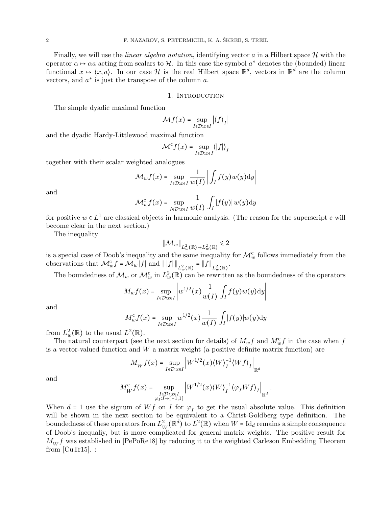Finally, we will use the *linear algebra notation*, identifying vector a in a Hilbert space  $\mathcal{H}$  with the operator  $\alpha \mapsto \alpha a$  acting from scalars to H. In this case the symbol  $a^*$  denotes the (bounded) linear functional  $x \mapsto (x, a)$ . In our case H is the real Hilbert space  $\mathbb{R}^d$ , vectors in  $\mathbb{R}^d$  are the column vectors, and  $a^*$  is just the transpose of the column  $a$ .

#### 1. Introduction

The simple dyadic maximal function

$$
\mathcal{M}f(x) = \sup_{I \in \mathcal{D}: x \in I} |\langle f \rangle_I|
$$

and the dyadic Hardy-Littlewood maximal function

$$
\mathcal{M}^c f(x) = \sup_{I \in \mathcal{D}: x \in I} \langle |f| \rangle_I
$$

together with their scalar weighted analogues

$$
\mathcal{M}_{w}f(x) = \sup_{I \in \mathcal{D}: x \in I} \frac{1}{w(I)} \left| \int_{I} f(y)w(y) \mathrm{d}y \right|
$$

and

$$
\mathcal{M}^c_w f(x) = \sup_{I \in \mathcal{D}: x \in I} \frac{1}{w(I)} \int_I |f(y)| w(y) dy
$$

for positive  $w \in L^1$  are classical objects in harmonic analysis. (The reason for the superscript c will become clear in the next section.)

The inequality

$$
\|\mathcal{M}_w\|_{L^2_w(\mathbb{R}) \to L^2_w(\mathbb{R})} \leq 2
$$

is a special case of Doob's inequality and the same inequality for  $\mathcal{M}_w^c$  follows immediately from the observations that  $\mathcal{M}_w^c f = \mathcal{M}_w |f|$  and  $||f||_{L^2_w(\mathbb{R})} = ||f||_{L^2_w(\mathbb{R})}$ .

The boundedness of  $\mathcal{M}_w$  or  $\mathcal{M}_w^c$  in  $L^2_w(\mathbb{R})$  can be rewritten as the boundedness of the operators

$$
M_w f(x) = \sup_{I \in \mathcal{D}: x \in I} \left| w^{1/2}(x) \frac{1}{w(I)} \int_I f(y) w(y) \mathrm{d}y \right|
$$

and

$$
M_w^c f(x) = \sup_{I \in \mathcal{D}: x \in I} w^{1/2}(x) \frac{1}{w(I)} \int_I |f(y)| w(y) dy
$$

from  $L^2_w(\mathbb{R})$  to the usual  $L^2(\mathbb{R})$ .

The natural counterpart (see the next section for details) of  $M_w f$  and  $M_w^c f$  in the case when f is a vector-valued function and  $W$  a matrix weight (a positive definite matrix function) are

$$
M_W f(x) = \sup_{I \in \mathcal{D} : x \in I} \left| W^{1/2}(x) \langle W \rangle_I^{-1} \langle W f \rangle_I \right|_{\mathbb{R}^d}
$$

and

$$
M_W^c f(x) = \sup_{\substack{I \in \mathcal{D} : x \in I \\ \varphi_I : I \to [-1,1]}} \left| W^{1/2}(x) \langle W \rangle_I^{-1} \langle \varphi_I W f \rangle_I \right|_{\mathbb{R}^d}
$$

.

When  $d = 1$  use the signum of  $Wf$  on I for  $\varphi_I$  to get the usual absolute value. This definition will be shown in the next section to be equivalent to a Christ-Goldberg type definition. The boundedness of these operators from  $L^2_{\nu}$  $\frac{2}{W}(\mathbb{R}^d)$  to  $L^2(\mathbb{R})$  when  $W = \text{Id}_d$  remains a simple consequence of Doob's inequaliy, but is more complicated for general matrix weights. The positive result for  $M_W f$  was established in [\[PePoRe18\]](#page-14-0) by reducing it to the weighted Carleson Embedding Theorem from  $\lbrack \text{CuTr15} \rbrack$ .: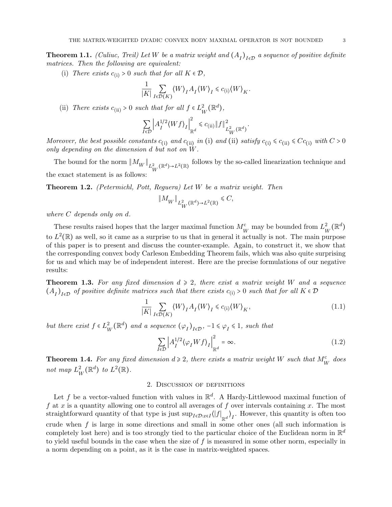<span id="page-2-1"></span>**Theorem 1.1.** (Culiuc, Treil) Let W be a matrix weight and  $(A_I)_{I \in \mathcal{D}}$  a sequence of positive definite matrices. Then the following are equivalent:

(i) There exists  $c_{(i)} > 0$  such that for all  $K \in \mathcal{D}$ ,

$$
\frac{1}{|K|} \sum_{I \in \mathcal{D}(K)} \langle W \rangle_I A_I \langle W \rangle_I \leq c_{(i)} \langle W \rangle_K.
$$

(ii) There exists  $c_{\text{(ii)}} > 0$  such that for all  $f \in L^2$  $_K^2(\mathbb{R}^d)$ ,

$$
\sum_{I \in \mathcal{D}} \left| A_I^{1/2} \langle W f \rangle_I \right|_{\mathbb{R}^d}^2 \leq c_{\text{(ii)}} \| f \|_{L^2_W(\mathbb{R}^d)}^2.
$$

Moreover, the best possible constants  $c_{(i)}$  and  $c_{(ii)}$  in (i) and (ii) satisfy  $c_{(i)} \le c_{(ii)} \le Cc_{(i)}$  with  $C > 0$ only depending on the dimension d but not on W.

The bound for the norm  $||M_W||_{L^2_W(\mathbb{R}^d) \to L^2(\mathbb{R})}$  follows by the so-called linearization technique and the exact statement is as follows:

**Theorem 1.2.** (Petermichl, Pott, Requera) Let  $W$  be a matrix weight. Then

$$
\|M_W\|_{L^2_W(\mathbb{R}^d)\to L^2(\mathbb{R})} \leq C,
$$

where C depends only on d.

These results raised hopes that the larger maximal function  $M_W^c$  may be bounded from  $L_V^2$  $^2_W(\mathbb{R}^d)$ to  $L^2(\mathbb{R})$  as well, so it came as a surprise to us that in general it actually is not. The main purpose of this paper is to present and discuss the counter-example. Again, to construct it, we show that the corresponding convex body Carleson Embedding Theorem fails, which was also quite surprising for us and which may be of independent interest. Here are the precise formulations of our negative results:

<span id="page-2-0"></span>**Theorem 1.3.** For any fixed dimension  $d \geq 2$ , there exist a matrix weight W and a sequence  $(A_I)_{I \in \mathcal{D}}$  of positive definite matrices such that there exists  $c_{(i)} > 0$  such that for all  $K \in \mathcal{D}$ 

<span id="page-2-2"></span>
$$
\frac{1}{|K|} \sum_{I \in \mathcal{D}(K)} \langle W \rangle_I A_I \langle W \rangle_I \leq c_{\text{(i)}} \langle W \rangle_K,\tag{1.1}
$$

but there exist  $f \in L^2$  $_{W}^{2}(\mathbb{R}^{d})$  and a sequence  $(\varphi_{I})_{I\in\mathcal{D}}, -1 \leq \varphi_{I} \leq 1$ , such that

<span id="page-2-3"></span>
$$
\sum_{I \in \mathcal{D}} \left| A_I^{1/2} \langle \varphi_I W f \rangle_I \right|_{\mathbb{R}^d}^2 = \infty. \tag{1.2}
$$

<span id="page-2-4"></span>**Theorem 1.4.** For any fixed dimension  $d \ge 2$ , there exists a matrix weight W such that  $M_V^c$  does not map  $L^2_{\nu}$  $_{W}^{2}(\mathbb{R}^{d})$  to  $L^{2}(\mathbb{R})$ .

### 2. Discussion of definitions

Let f be a vector-valued function with values in  $\mathbb{R}^d$ . A Hardy-Littlewood maximal function of f at x is a quantity allowing one to control all averages of f over intervals containing x. The most straightforward quantity of that type is just  $\sup_{I\in\mathcal{D}:x\in I}\langle |f|_{\mathbb{R}^d}\rangle_I$ . However, this quantity is often too crude when  $f$  is large in some directions and small in some other ones (all such information is completely lost here) and is too strongly tied to the particular choice of the Euclidean norm in  $\mathbb{R}^d$ to yield useful bounds in the case when the size of  $f$  is measured in some other norm, especially in a norm depending on a point, as it is the case in matrix-weighted spaces.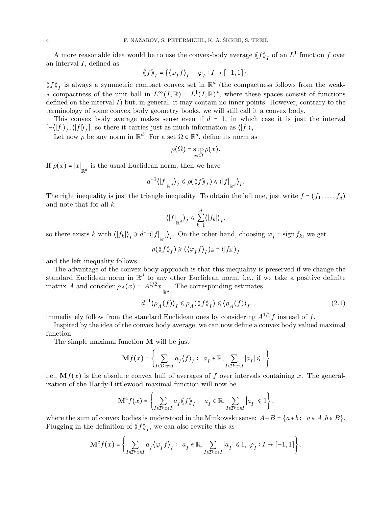A more reasonable idea would be to use the convex-body average  $\langle f \rangle_I$  of an  $L^1$  function f over an interval  $I$ , defined as

$$
\langle \langle f \rangle \rangle_I = {\langle \langle \varphi_I f \rangle_I : \varphi_I : I \to [-1, 1] \rangle}.
$$

 $\langle f \rangle$ <sub>I</sub> is always a symmetric compact convex set in  $\mathbb{R}^d$  (the compactness follows from the weak-∗ compactness of the unit ball in  $L^{\infty}(I,\mathbb{R}) = L^{1}(I,\mathbb{R})^*$ , where these spaces consist of functions defined on the interval  $I$ ) but, in general, it may contain no inner points. However, contrary to the terminology of some convex body geometry books, we will still call it a convex body.

This convex body average makes sense even if  $d = 1$ , in which case it is just the interval  $[-\langle |f| \rangle_I, \langle |f| \rangle_I],$  so there it carries just as much information as  $\langle |f| \rangle_I$ .

Let now  $\rho$  be any norm in  $\mathbb{R}^d$ . For a set  $\Omega \subset \mathbb{R}^d$ , define its norm as

$$
\rho(\Omega)=\sup_{x\in\Omega}\rho(x).
$$

If  $\rho(x) = |x|_{\mathbb{R}^d}$  is the usual Euclidean norm, then we have

$$
d^{-1}\langle |f|_{\mathbb{R}^d}\rangle_I \leq \rho(\langle f \rangle_I) \leq \langle |f|_{\mathbb{R}^d}\rangle_I.
$$

The right inequality is just the triangle inequality. To obtain the left one, just write  $f = (f_1, \ldots, f_d)$ and note that for all  $k$ 

$$
\langle |f|_{\mathbb{R}^d} \rangle_I \leq \sum_{k=1}^d \langle |f_k| \rangle_I,
$$

so there exists k with  $\langle |f_k|\rangle_I \geq d^{-1} \langle |f|_{\mathbb{R}^d} \rangle_I$ . On the other hand, choosing  $\varphi_I = \text{sign } f_k$ , we get

 $\rho(\langle\!\langle f \rangle\!\rangle_I) \geqslant (\langle \varphi_I f \rangle\!\rangle_I)_{k} = \langle\! \langle f_k \rangle \rangle\!\rangle_I$ 

and the left inequality follows.

The advantage of the convex body approach is that this inequality is preserved if we change the standard Euclidean norm in  $\mathbb{R}^d$  to any other Euclidean norm, i.e., if we take a positive definite matrix A and consider  $\rho_A(x) = |A^{1/2}x|_{\mathbb{R}^d}$ . The corresponding estimates

<span id="page-3-0"></span>
$$
d^{-1}\langle \rho_A(f) \rangle_I \le \rho_A(\langle \langle f \rangle \rangle_I) \le \langle \rho_A(f) \rangle_I \tag{2.1}
$$

immediately follow from the standard Euclidean ones by considering  $A^{1/2}f$  instead of f.

Inspired by the idea of the convex body average, we can now define a convex body valued maximal function.

The simple maximal function  $M$  will be just

$$
\mathbf{M} f(x) = \left\{ \sum_{I \in \mathcal{D}: x \in I} a_I \langle f \rangle_I : a_I \in \mathbb{R}, \sum_{I \in \mathcal{D}: x \in I} |a_I| \leq 1 \right\}
$$

i.e.,  $\mathbf{M}f(x)$  is the absolute convex hull of averages of f over intervals containing x. The generalization of the Hardy-Littlewood maximal function will now be

$$
\mathbf{M}^c f(x) = \left\{ \sum_{I \in \mathcal{D}: x \in I} a_I \langle \! \langle f \rangle \! \rangle_I : a_I \in \mathbb{R}, \sum_{I \in \mathcal{D}: x \in I} |a_I| \leq 1 \right\},\,
$$

where the sum of convex bodies is understood in the Minkowski sense:  $A+B = \{a+b : a \in A, b \in B\}$ . Plugging in the definition of  $\langle f \rangle\!\rangle_I$ , we can also rewrite this as

$$
\mathbf{M}^c f(x) = \left\{ \sum_{I \in \mathcal{D}: x \in I} a_I \langle \varphi_I f \rangle_I : a_I \in \mathbb{R}, \sum_{I \in \mathcal{D}: x \in I} |a_I| \leq 1, \, \varphi_I : I \to [-1, 1] \right\}.
$$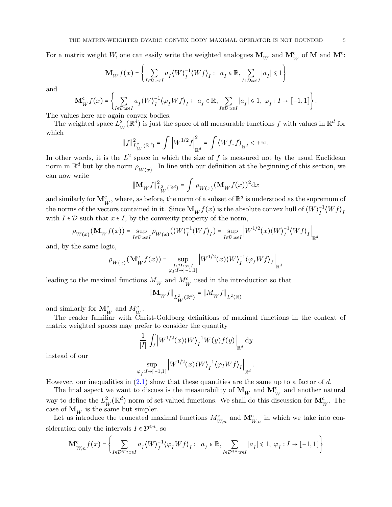For a matrix weight W, one can easily write the weighted analogues  $\mathbf{M}_W$  and  $\mathbf{M}_W^c$  of  $\mathbf{M}$  and  $\mathbf{M}^c$ :

$$
\mathbf{M}_{W}f(x) = \left\{ \sum_{I \in \mathcal{D}: x \in I} a_I \langle W \rangle_I^{-1} \langle W f \rangle_I : a_I \in \mathbb{R}, \sum_{I \in \mathcal{D}: x \in I} |a_I| \leq 1 \right\}
$$

and

$$
\mathbf{M}_{W}^{c} f(x) = \left\{ \sum_{I \in \mathcal{D}: x \in I} a_{I} \langle W \rangle_{I}^{-1} \langle \varphi_{I} W f \rangle_{I} : a_{I} \in \mathbb{R}, \sum_{I \in \mathcal{D}: x \in I} |a_{I}| \leq 1, \, \varphi_{I} : I \to [-1, 1] \right\}.
$$

The values here are again convex bodies.

The weighted space  $L^2_{\nu}$  $\mu_W^2(\mathbb{R}^d)$  is just the space of all measurable functions  $f$  with values in  $\mathbb{R}^d$  for which

$$
\|f\|_{L^2_{W}(\mathbb{R}^d)}^2 = \int \left|W^{1/2}f\right|_{\mathbb{R}^d}^2 = \int \left\langle Wf,f\right\rangle_{\mathbb{R}^d} < +\infty.
$$

In other words, it is the  $L^2$  space in which the size of f is measured not by the usual Euclidean norm in  $\mathbb{R}^d$  but by the norm  $\rho_{W(x)}$ . In line with our definition at the beginning of this section, we can now write

$$
\|\mathbf{M}_{W}f\|_{L^{2}_{W}(\mathbb{R}^{d})}^{2} = \int \rho_{W(x)}(\mathbf{M}_{W}f(x))^{2} dx
$$

and similarly for  $\mathbf{M}_{W}^{\text{c}}$ , where, as before, the norm of a subset of  $\mathbb{R}^{d}$  is understood as the supremum of the norms of the vectors contained in it. Since  $\mathbf{M}_W^f(x)$  is the absolute convex hull of  $\langle W \rangle_f^{-1}$  $I^{\text{-1}}(Wf)$ <sub>I</sub> with  $I \in \mathcal{D}$  such that  $x \in I$ , by the convexity property of the norm,

$$
\rho_{W(x)}(\mathbf{M}_W f(x)) = \sup_{I \in \mathcal{D}: x \in I} \rho_{W(x)}(\langle W \rangle_I^{-1} \langle W f \rangle_I) = \sup_{I \in \mathcal{D}: x \in I} \left| W^{1/2}(x) \langle W \rangle_I^{-1} \langle W f \rangle_I \right|_{\mathbb{R}^d}
$$

and, by the same logic,

$$
\rho_{W(x)}(\mathbf{M}_W^c f(x)) = \sup_{\substack{I \in \mathcal{D} : x \in I \\ \varphi_I : I \to [-1,1]}} \left| W^{1/2}(x) \langle W \rangle_I^{-1} \langle \varphi_I W f \rangle_I \right|_{\mathbb{R}^d}
$$

leading to the maximal functions  $M_W^{\phantom{\dagger}}$  and  $M_W^{\rm c}$  used in the introduction so that

$$
\|{\bf M}_Wf\|_{L^2_W(\mathbb{R}^d)}=\|M_Wf\|_{L^2(\mathbb{R})}
$$

and similarly for  $\mathbf{M}_{W}^{\text{c}}$  and  $M_{W}^{\text{c}}$ .

The reader familiar with Christ-Goldberg definitions of maximal functions in the context of matrix weighted spaces may prefer to consider the quantity

$$
\frac{1}{|I|}\int_I \left|W^{1/2}(x)\langle W\rangle_I^{-1}W(y)f(y)\right|_{\mathbb{R}^d} \mathrm{d}y
$$

instead of our

$$
\sup_{\varphi_I: I \to [-1,1]} \left| W^{1/2}(x) \langle W \rangle_I^{-1} \langle \varphi_I W f \rangle_I \right|_{\mathbb{R}^d}.
$$

However, our inequalities in  $(2.1)$  show that these quantities are the same up to a factor of d.

The final aspect we want to discuss is the measurability of  $\mathbf{M}_W$  and  $\mathbf{M}_W^c$  and another natural way to define the  $L^2_{\nu}$  $\frac{2}{W}(\mathbb{R}^d)$  norm of set-valued functions. We shall do this discussion for  $\mathbf{M}_W^c$ . The case of  $\mathbf{M}_W$  is the same but simpler.

Let us introduce the truncated maximal functions  $M_{W,n}^c$  and  $\mathbf{M}_{W,n}^c$  in which we take into consideration only the intervals  $I \in \mathcal{D}^{\leq n}$ , so

$$
\mathbf{M}_{W,n}^{\mathrm{c}} f(x) = \left\{ \sum_{I \in \mathcal{D}^{\le n} : x \in I} a_I \langle W \rangle_I^{-1} \langle \varphi_I W f \rangle_I : a_I \in \mathbb{R}, \sum_{I \in \mathcal{D}^{\le n} : x \in I} |a_I| \le 1, \ \varphi_I : I \to [-1,1] \right\}
$$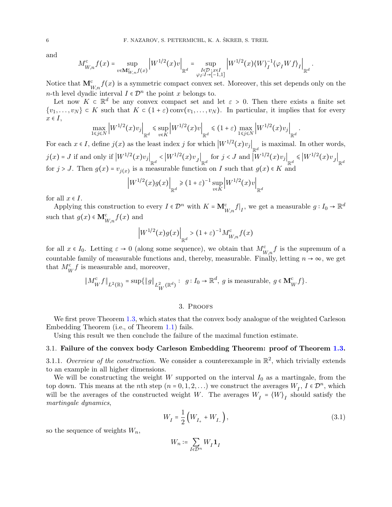and

$$
M_{W,n}^c f(x) = \sup_{v \in \mathbf{M}_{W,n}^c f(x)} \left| W^{1/2}(x) v \right|_{\mathbb{R}^d} = \sup_{\substack{I \in \mathcal{D} : x \in I \\ \varphi_I : I \to [-1,1]}} \left| W^{1/2}(x) \langle W \rangle_I^{-1} \langle \varphi_I W f \rangle_I \right|_{\mathbb{R}^d}.
$$

Notice that  $\mathbf{M}_{W,n}^{\text{c}} f(x)$  is a symmetric compact convex set. Moreover, this set depends only on the *n*-th level dyadic interval  $I \in \mathcal{D}^n$  the point x belongs to.

Let now  $K \subset \mathbb{R}^d$  be any convex compact set and let  $\varepsilon > 0$ . Then there exists a finite set  $\{v_1,\ldots,v_N\} \subset K$  such that  $K \subset (1+\varepsilon)$  conv $(v_1,\ldots,v_N)$ . In particular, it implies that for every  $x \in I$ ,

$$
\max_{1 \le j \le N} \left| W^{1/2}(x) v_j \right|_{\mathbb{R}^d} \le \sup_{v \in K} \left| W^{1/2}(x) v \right|_{\mathbb{R}^d} \le (1+\varepsilon) \max_{1 \le j \le N} \left| W^{1/2}(x) v_j \right|_{\mathbb{R}^d}.
$$

For each  $x \in I$ , define  $j(x)$  as the least index j for which  $|W^{1/2}(x)v_j|_{\mathbb{R}^d}$  is maximal. In other words,  $j(x)$  = J if and only if  $\left|W^{1/2}(x)v_j\right|_{\mathbb{R}^d} < \left|W^{1/2}(x)v_j\right|_{\mathbb{R}^d}$  for  $j < J$  and  $\left|W^{1/2}(x)v_j\right|_{\mathbb{R}^d} < \left|W^{1/2}(x)v_j\right|_{\mathbb{R}^d}$ for  $j > J$ . Then  $g(x) = v_{j(x)}$  is a measurable function on I such that  $g(x) \in K$  and

$$
\left|W^{1/2}(x)g(x)\right|_{\mathbb{R}^d} \ge (1+\varepsilon)^{-1} \sup_{v \in K} \left|W^{1/2}(x)v\right|_{\mathbb{R}^d}
$$

for all  $x \in I$ .

Applying this construction to every  $I \in \mathcal{D}^n$  with  $K = \mathbf{M}_{W,n}^c f|_I$ , we get a measurable  $g: I_0 \to \mathbb{R}^d$ such that  $g(x) \in M^{\mathcal{C}}_{W,n} f(x)$  and

$$
\left|W^{1/2}(x)g(x)\right|_{\mathbb{R}^d}>(1+\varepsilon)^{-1}M^{\mathrm{c}}_{W,n}f(x)
$$

for all  $x \in I_0$ . Letting  $\varepsilon \to 0$  (along some sequence), we obtain that  $M_{W,n}^c f$  is the supremum of a countable family of measurable functions and, thereby, measurable. Finally, letting  $n \to \infty$ , we get that  $M_W^c f$  is measurable and, moreover,

$$
\|M_W^c f\|_{L^2(\mathbb{R})} = \sup \{ \|g\|_{L^2_W(\mathbb{R}^d)} : g: I_0 \to \mathbb{R}^d, g \text{ is measurable, } g \in \mathbf{M}_W^c f \}.
$$

### 3. Proofs

We first prove Theorem [1.3,](#page-2-0) which states that the convex body analogue of the weighted Carleson Embedding Theorem (i.e., of Theorem [1.1\)](#page-2-1) fails.

Using this result we then conclude the failure of the maximal function estimate.

# 3.1. Failure of the convex body Carleson Embedding Theorem: proof of Theorem [1.3.](#page-2-0)

<span id="page-5-1"></span>3.1.1. Overview of the construction. We consider a counterexample in  $\mathbb{R}^2$ , which trivially extends to an example in all higher dimensions.

We will be constructing the weight W supported on the interval  $I_0$  as a martingale, from the top down. This means at the *n*th step  $(n = 0, 1, 2, ...)$  we construct the averages  $W_I$ ,  $I \in \mathcal{D}^n$ , which will be the averages of the constructed weight W. The averages  $W_I = \langle W \rangle_I$  should satisfy the martingale dynamics,

$$
W_{I} = \frac{1}{2} \left( W_{I_{+}} + W_{I_{-}} \right), \tag{3.1}
$$

so the sequence of weights  $W_n$ ,

<span id="page-5-0"></span>
$$
W_n\coloneqq \sum_{I\in \mathcal{D}^n}W_I\mathbf{1}_I
$$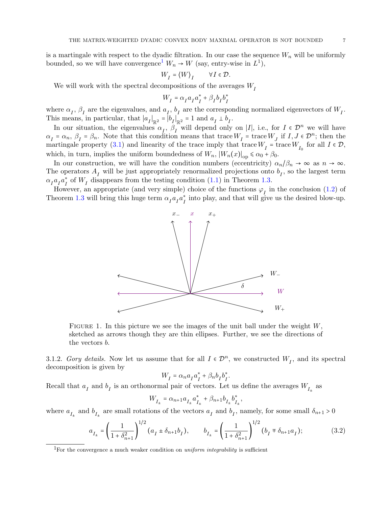is a martingale with respect to the dyadic filtration. In our case the sequence  $W_n$  will be uniformly bounded, so we will have convergence<sup>[1](#page-6-0)</sup>  $W_n \to W$  (say, entry-wise in  $L^1$ ),

$$
W_I = \langle W \rangle_I \qquad \forall I \in \mathcal{D}.
$$

We will work with the spectral decompositions of the averages  $W_I$ 

$$
W_I = \alpha_I a_I a_I^* + \beta_I b_I b_I^*
$$

where  $\alpha_I$ ,  $\beta_I$  are the eigenvalues, and  $a_I$ ,  $b_I$  are the corresponding normalized eigenvectors of  $W_I$ . This means, in particular, that  $|a_I|_{\mathbb{R}^2} = |b_I|_{\mathbb{R}^2} = 1$  and  $a_I \perp b_I$ .

In our situation, the eigenvalues  $\alpha_I$ ,  $\beta_I^{\infty}$  will depend only on |I|, i.e., for  $I \in \mathcal{D}^n$  we will have  $\alpha_I = \alpha_n$ ,  $\beta_I = \beta_n$ . Note that this condition means that trace  $W_I$  = trace  $W_J$  if  $I, J \in \mathcal{D}^n$ ; then the martingale property [\(3.1\)](#page-5-0) and linearity of the trace imply that trace  $W_I$  = trace  $W_{I_0}$  for all  $I \in \mathcal{D}$ , which, in turn, implies the uniform boundedness of  $W_n$ ,  $|W_n(x)|_{op} \le \alpha_0 + \beta_0$ .

In our construction, we will have the condition numbers (eccentricity)  $\alpha_n/\beta_n \to \infty$  as  $n \to \infty$ . The operators  $A_I$  will be just appropriately renormalized projections onto  $b_I$ , so the largest term  $\alpha_{I}a_{I}^{\ast}a_{I}^{\ast}$  $I_I^*$  of  $W_I$  disappears from the testing condition [\(1.1\)](#page-2-2) in Theorem [1.3.](#page-2-0)

However, an appropriate (and very simple) choice of the functions  $\varphi_I$  in the conclusion [\(1.2\)](#page-2-3) of Theorem [1.3](#page-2-0) will bring this huge term  $\alpha_I a_I a_I^*$  $I_I^*$  into play, and that will give us the desired blow-up.



FIGURE 1. In this picture we see the images of the unit ball under the weight  $W$ , sketched as arrows though they are thin ellipses. Further, we see the directions of the vectors b.

3.1.2. Gory details. Now let us assume that for all  $I \in \mathcal{D}^n$ , we constructed  $W_I$ , and its spectral decomposition is given by

<span id="page-6-1"></span>
$$
W_I = \alpha_n a_I a_I^* + \beta_n b_I b_I^*.
$$

Recall that  $a_I$  and  $b_I$  is an orthonormal pair of vectors. Let us define the averages  $W_{I_{\pm}}$  as

$$
W_{I_{\pm}}=\alpha_{n+1}a_{I_{\pm}}a_{I_{\pm}}^*+\beta_{n+1}b_{I_{\pm}}b_{I_{\pm}}^*,
$$

where  $a_{I_{\pm}}$  and  $b_{I_{\pm}}$  are small rotations of the vectors  $a_I$  and  $b_I$ , namely, for some small  $\delta_{n+1} > 0$ 

$$
a_{I_{\pm}} = \left(\frac{1}{1 + \delta_{n+1}^2}\right)^{1/2} (a_I \pm \delta_{n+1}b_I), \qquad b_{I_{\pm}} = \left(\frac{1}{1 + \delta_{n+1}^2}\right)^{1/2} (b_I \mp \delta_{n+1}a_I); \tag{3.2}
$$

<span id="page-6-0"></span><sup>&</sup>lt;sup>1</sup>For the convergence a much weaker condition on *uniform integrability* is sufficient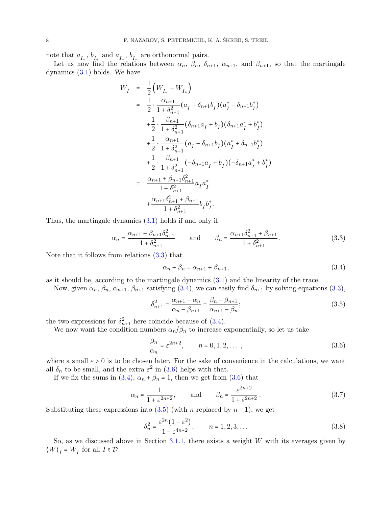note that  $a_{I_+}, b_{I_+}$  and  $a_{I_-}, b_{I_-}$  are orthonormal pairs.

Let us now find the relations between  $\alpha_n$ ,  $\beta_n$ ,  $\delta_{n+1}$ ,  $\alpha_{n+1}$ , and  $\beta_{n+1}$ , so that the martingale dynamics [\(3.1\)](#page-5-0) holds. We have

$$
W_{I} = \frac{1}{2} \Big( W_{I_{-}} + W_{I_{+}} \Big)
$$
  
\n
$$
= \frac{1}{2} \cdot \frac{\alpha_{n+1}}{1 + \delta_{n+1}^{2}} (a_{I} - \delta_{n+1} b_{I}) (a_{I}^{*} - \delta_{n+1} b_{I}^{*})
$$
  
\n
$$
+ \frac{1}{2} \cdot \frac{\beta_{n+1}}{1 + \delta_{n+1}^{2}} (\delta_{n+1} a_{I} + b_{I}) (\delta_{n+1} a_{I}^{*} + b_{I}^{*})
$$
  
\n
$$
+ \frac{1}{2} \cdot \frac{\alpha_{n+1}}{1 + \delta_{n+1}^{2}} (a_{I} + \delta_{n+1} b_{I}) (a_{I}^{*} + \delta_{n+1} b_{I}^{*})
$$
  
\n
$$
+ \frac{1}{2} \cdot \frac{\beta_{n+1}}{1 + \delta_{n+1}^{2}} (-\delta_{n+1} a_{I} + b_{I}) (-\delta_{n+1} a_{I}^{*} + b_{I}^{*})
$$
  
\n
$$
= \frac{\alpha_{n+1} + \beta_{n+1} \delta_{n+1}^{2}}{1 + \delta_{n+1}^{2}} a_{I} a_{I}^{*}
$$
  
\n
$$
+ \frac{\alpha_{n+1} \delta_{n+1}^{2} + \beta_{n+1}}{1 + \delta_{n+1}^{2}} b_{I} b_{I}^{*}.
$$

Thus, the martingale dynamics [\(3.1\)](#page-5-0) holds if and only if

<span id="page-7-0"></span>
$$
\alpha_n = \frac{\alpha_{n+1} + \beta_{n+1}\delta_{n+1}^2}{1 + \delta_{n+1}^2} \quad \text{and} \quad \beta_n = \frac{\alpha_{n+1}\delta_{n+1}^2 + \beta_{n+1}}{1 + \delta_{n+1}^2}.
$$
 (3.3)

Note that it follows from relations [\(3.3\)](#page-7-0) that

<span id="page-7-3"></span><span id="page-7-1"></span>
$$
\alpha_n + \beta_n = \alpha_{n+1} + \beta_{n+1},\tag{3.4}
$$

as it should be, according to the martingale dynamics [\(3.1\)](#page-5-0) and the linearity of the trace.

Now, given  $\alpha_n$ ,  $\beta_n$ ,  $\alpha_{n+1}$ ,  $\beta_{n+1}$  satisfying [\(3.4\)](#page-7-1), we can easily find  $\delta_{n+1}$  by solving equations [\(3.3\)](#page-7-0),

$$
\delta_{n+1}^2 = \frac{\alpha_{n+1} - \alpha_n}{\alpha_n - \beta_{n+1}} = \frac{\beta_n - \beta_{n+1}}{\alpha_{n+1} - \beta_n};
$$
\n(3.5)

the two expressions for  $\delta_{n+1}^2$  here coincide because of [\(3.4\)](#page-7-1).

We now want the condition numbers  $\alpha_n/\beta_n$  to increase exponentially, so let us take

<span id="page-7-2"></span>
$$
\frac{\beta_n}{\alpha_n} = \varepsilon^{2n+2}, \qquad n = 0, 1, 2, \dots \,, \tag{3.6}
$$

where a small  $\varepsilon > 0$  is to be chosen later. For the sake of convenience in the calculations, we want all  $\delta_n$  to be small, and the extra  $\varepsilon^2$  in [\(3.6\)](#page-7-2) helps with that.

If we fix the sums in [\(3.4\)](#page-7-1),  $\alpha_n + \beta_n = 1$ , then we get from [\(3.6\)](#page-7-2) that

<span id="page-7-4"></span>
$$
\alpha_n = \frac{1}{1 + \varepsilon^{2n+2}}, \quad \text{and} \quad \beta_n = \frac{\varepsilon^{2n+2}}{1 + \varepsilon^{2n+2}}.
$$
 (3.7)

Substituting these expressions into  $(3.5)$  (with n replaced by  $n-1$ ), we get

<span id="page-7-5"></span>
$$
\delta_n^2 = \frac{\varepsilon^{2n} (1 - \varepsilon^2)}{1 - \varepsilon^{4n+2}}, \qquad n = 1, 2, 3, \dots
$$
\n(3.8)

So, as we discussed above in Section  $3.1.1$ , there exists a weight W with its averages given by  $\langle W \rangle_I = W_I$  for all  $I \in \mathcal{D}$ .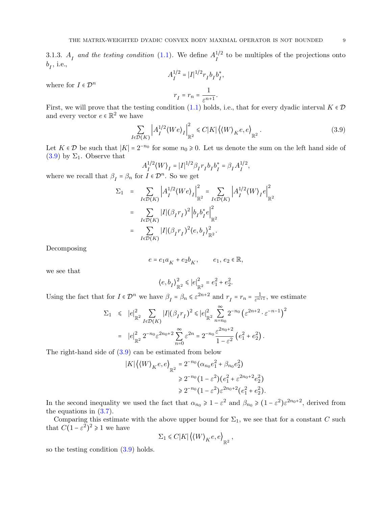3.1.3.  $A_I$  and the testing condition [\(1.1\)](#page-2-2). We define  $A_I^{1/2}$  $I_I^{1/2}$  to be multiples of the projections onto  $b_I$ , i.e.,  $1/2$ 

$$
A_I^{1/2} = |I|^{1/2} r_I b_I b_I^*,
$$
  

$$
r_I = r_n = \frac{1}{\varepsilon^{n+1}}.
$$

First, we will prove that the testing condition [\(1.1\)](#page-2-2) holds, i.e., that for every dyadic interval  $K \in \mathcal{D}$ and every vector  $e \in \mathbb{R}^2$  we have

<span id="page-8-0"></span>
$$
\sum_{I \in \mathcal{D}(K)} \left| A_I^{1/2} \langle W e \rangle_I \right|_{\mathbb{R}^2}^2 \le C |K| \left| \langle W \rangle_K e, e \rangle_{\mathbb{R}^2} \,. \tag{3.9}
$$

Let  $K \in \mathcal{D}$  be such that  $|K| = 2^{-n_0}$  for some  $n_0 \ge 0$ . Let us denote the sum on the left hand side of  $(3.9)$  by  $\Sigma_1$ . Observe that

$$
A_I^{1/2}\langle W \rangle_I = |I|^{1/2} \beta_I r_I b_I b_I^* = \beta_I A_I^{1/2},
$$

where we recall that  $\beta_I = \beta_n$  for  $I \in \mathcal{D}^n$ . So we get

$$
\begin{array}{lcl} \Sigma_1 & = & \displaystyle \sum_{I \in \mathcal{D}(K)} \left| A_I^{1/2} \langle W e \rangle_I \right|_{\mathbb{R}^2}^2 = & \displaystyle \sum_{I \in \mathcal{D}(K)} \left| A_I^{1/2} \langle W \rangle_I e \right|_{\mathbb{R}^2}^2 \\ & = & \displaystyle \sum_{I \in \mathcal{D}(K)} |I| (\beta_I r_I)^2 \left| b_I b_I^* e \right|_{\mathbb{R}^2}^2 \\ & = & \displaystyle \sum_{I \in \mathcal{D}(K)} |I| (\beta_I r_I)^2 \langle e, b_I \rangle_{\mathbb{R}^2}^2. \end{array}
$$

Decomposing

where for  $I \in \mathcal{D}^n$ 

$$
e=e_1a_K+e_2b_K,\qquad e_1,\,e_2\in\mathbb{R},
$$

we see that

$$
\left\langle e,b_I\right\rangle^2_{\mathbb{R}^2}\leqslant |e|^2_{\mathbb{R}^2}=e^2_1+e^2_2.
$$

Using the fact that for  $I \in \mathcal{D}^n$  we have  $\beta_I = \beta_n \leq \varepsilon^{2n+2}$  and  $r_I = r_n = \frac{1}{\varepsilon^{n+1}}$ , we estimate

$$
\Sigma_1 \leq |e|^2_{\mathbb{R}^2} \sum_{I \in \mathcal{D}(K)} |I| (\beta_I r_I)^2 \leq |e|^2_{\mathbb{R}^2} \sum_{n=n_0}^{\infty} 2^{-n_0} (\varepsilon^{2n+2} \cdot \varepsilon^{-n-1})^2
$$
  
=  $|e|^2_{\mathbb{R}^2} 2^{-n_0} \varepsilon^{2n_0+2} \sum_{n=0}^{\infty} \varepsilon^{2n} = 2^{-n_0} \frac{\varepsilon^{2n_0+2}}{1-\varepsilon^2} (e^2_1 + e^2_2).$ 

The right-hand side of [\(3.9\)](#page-8-0) can be estimated from below

$$
|K| \langle \langle W \rangle_K e, e \rangle_{\mathbb{R}^2} = 2^{-n_0} (\alpha_{n_0} e_1^2 + \beta_{n_0} e_2^2)
$$
  

$$
\geq 2^{-n_0} (1 - \varepsilon^2) (e_1^2 + \varepsilon^{2n_0 + 2} e_2^2)
$$
  

$$
\geq 2^{-n_0} (1 - \varepsilon^2) \varepsilon^{2n_0 + 2} (e_1^2 + e_2^2).
$$

In the second inequality we used the fact that  $\alpha_{n_0} \geq 1 - \varepsilon^2$  and  $\beta_{n_0} \geq (1 - \varepsilon^2) \varepsilon^{2n_0+2}$ , derived from the equations in  $(3.7)$ .

Comparing this estimate with the above upper bound for  $\Sigma_1$ , we see that for a constant C such that  $C(1-\varepsilon^2)^2 \geq 1$  we have

$$
\Sigma_1 \leq C|K| \langle \langle W \rangle_K e, e \rangle_{\mathbb{R}^2},
$$

so the testing condition  $(3.9)$  holds.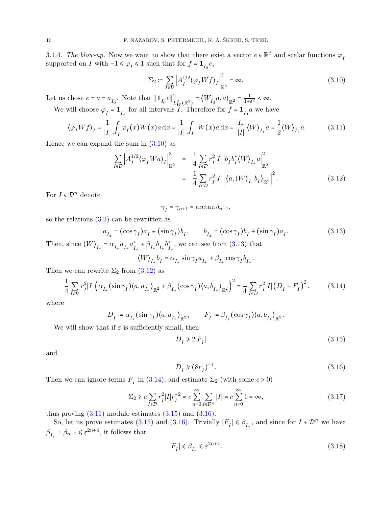<span id="page-9-8"></span>3.1.4. The blow-up. Now we want to show that there exist a vector  $e \in \mathbb{R}^2$  and scalar functions  $\varphi_I$ supported on *I* with  $-1 \le \varphi_I \le 1$  such that for  $f = \mathbf{1}_{I_0} e$ ,

<span id="page-9-0"></span>
$$
\Sigma_2 \coloneqq \sum_{I \in \mathcal{D}} \left| A_I^{1/2} \langle \varphi_I W f \rangle_I \right|_{\mathbb{R}^2}^2 = \infty. \tag{3.10}
$$

Let us chose  $e = a = a_{I_0}$ . Note that  $\|\mathbf{1}_{I_0}e\|_I^2$  $\frac{2}{L_W^2(\mathbb{R}^2)} = \langle W_{I_0} a, a \rangle_{\mathbb{R}^2} = \frac{1}{1 + \varepsilon^2}$  $\frac{1}{1+\varepsilon^2}<\infty$ .

We will choose  $\varphi_I = \mathbf{1}_{I_+}$  for all intervals  $I$ . Therefore for  $f = \mathbf{1}_{I_0} a$  we have

<span id="page-9-4"></span>
$$
\langle \varphi_I W f \rangle_I = \frac{1}{|I|} \int_I \varphi_I(x) W(x) a \, dx = \frac{1}{|I|} \int_{I_+} W(x) a \, dx = \frac{|I_+|}{|I|} \langle W \rangle_{I_+} a = \frac{1}{2} \langle W \rangle_{I_+} a. \tag{3.11}
$$

Hence we can expand the sum in  $(3.10)$  as

<span id="page-9-2"></span>
$$
\sum_{I \in \mathcal{D}} \left| A_I^{1/2} \langle \varphi_I W a \rangle_I \right|_{\mathbb{R}^2}^2 = \frac{1}{4} \sum_{I \in \mathcal{D}} r_I^2 |I| \left| b_I b_I^* \langle W \rangle_{I_+} a \right|_{\mathbb{R}^2}^2
$$

$$
= \frac{1}{4} \sum_{I \in \mathcal{D}} r_I^2 |I| \left| \langle a, \langle W \rangle_{I_+} b_I \rangle_{\mathbb{R}^2} \right|^2. \tag{3.12}
$$

For  $I \in \mathcal{D}^n$  denote

<span id="page-9-1"></span>
$$
\gamma_I^{}=\gamma_{n+1}=\arctan\delta_{n+1}^{},
$$

so the relations  $(3.2)$  can be rewritten as

$$
a_{I_{\pm}} = (\cos \gamma_I) a_I \pm (\sin \gamma_I) b_I, \qquad b_{I_{\pm}} = (\cos \gamma_I) b_I \mp (\sin \gamma_I) a_I. \tag{3.13}
$$

Then, since  $\langle W \rangle_{I_+} = \alpha_{I_+} a_{I_+} a_{I_-}^*$  $J_{I_{+}}^* + \beta_{I_{+}} b_{I_{+}} b_{I_{+}}^*$  $_{I_{+}}^{*}$ , we can see from [\(3.13\)](#page-9-1) that

$$
\langle W \rangle_{I_+} b_I = \alpha_{I_+} \sin \gamma_I a_{I_+} + \beta_{I_+} \cos \gamma_I b_{I_+}.
$$

Then we can rewrite  $\Sigma_2$  from  $(3.12)$  as

<span id="page-9-3"></span>
$$
\frac{1}{4} \sum_{I \in \mathcal{D}} r_I^2 |I| \left( \alpha_{I_+} (\sin \gamma_I) \langle a, a_{I_+} \rangle_{\mathbb{R}^2} + \beta_{I_+} (\cos \gamma_I) \langle a, b_{I_+} \rangle_{\mathbb{R}^2} \right)^2 = \frac{1}{4} \sum_{I \in \mathcal{D}} r_I^2 |I| \left( D_I + F_I \right)^2, \tag{3.14}
$$

where

$$
D_I := \alpha_{I_+} (\sin \gamma_I) \langle a, a_{I_+} \rangle_{\mathbb{R}^2}, \qquad F_I := \beta_{I_+} (\cos \gamma_I) \langle a, b_{I_+} \rangle_{\mathbb{R}^2}.
$$

We will show that if  $\varepsilon$  is sufficiently small, then

<span id="page-9-5"></span>
$$
D_I \geqslant 2|F_I| \tag{3.15}
$$

and

<span id="page-9-6"></span>
$$
D_I \geq (8r_I)^{-1}.\tag{3.16}
$$

Then we can ignore terms  $F_I$  in [\(3.14\)](#page-9-3), and estimate  $\Sigma_2$  (with some  $c > 0$ )

$$
\Sigma_2 \ge c \sum_{I \in \mathcal{D}} r_I^2 |I| r_I^{-2} = c \sum_{n=0}^{\infty} \sum_{I \in \mathcal{D}^n} |I| = c \sum_{n=0}^{\infty} 1 = \infty,
$$
\n(3.17)

thus proving  $(3.11)$  modulo estimates  $(3.15)$  and  $(3.16)$ .

So, let us prove estimates [\(3.15\)](#page-9-5) and [\(3.16\)](#page-9-6). Trivially  $|F_I| \leq \beta_{I_+}$ , and since for  $I \in \mathcal{D}^n$  we have  $\beta_{I_+} = \beta_{n+1} \leqslant \varepsilon^{2n+4}$ , it follows that

<span id="page-9-7"></span>
$$
|F_I|\leqslant \beta_{I_+}\leqslant \varepsilon^{2n+4}.\tag{3.18}
$$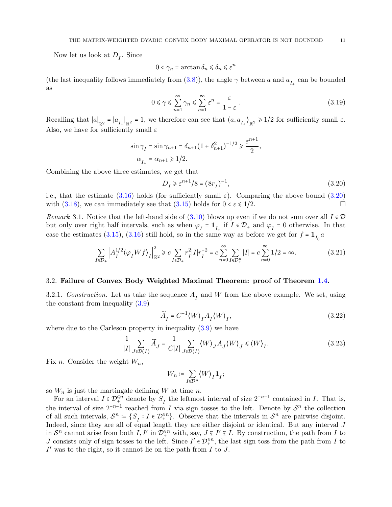Now let us look at  $D_I$ . Since

$$
0 < \gamma_n = \arctan \delta_n \le \delta_n \le \varepsilon^n
$$

(the last inequality follows immediately from [\(3.8\)](#page-7-5)), the angle  $\gamma$  between a and  $a_{I_+}$  can be bounded as

$$
0 \le \gamma \le \sum_{n=1}^{\infty} \gamma_n \le \sum_{n=1}^{\infty} \varepsilon^n = \frac{\varepsilon}{1 - \varepsilon} \,. \tag{3.19}
$$

Recalling that  $|a|_{\mathbb{R}^2} = |a_{I_+}|_{\mathbb{R}^2} = 1$ , we therefore can see that  $\langle a, a_{I_+} \rangle_{\mathbb{R}^2} \ge 1/2$  for sufficiently small  $\varepsilon$ . Also, we have for sufficiently small  $\varepsilon$ 

$$
\begin{split} \sin\gamma_I&=\sin\gamma_{n+1}=\delta_{n+1}\big(1+\delta_{n+1}^2\big)^{-1/2}\geq\frac{\varepsilon^{n+1}}{2},\\ \alpha_{I_+}&=\alpha_{n+1}\geq 1/2. \end{split}
$$

Combining the above three estimates, we get that

<span id="page-10-2"></span>
$$
D_I \geq \varepsilon^{n+1}/8 = (8r_I)^{-1},\tag{3.20}
$$

i.e., that the estimate  $(3.16)$  holds (for sufficiently small  $\varepsilon$ ). Comparing the above bound  $(3.20)$ with [\(3.18\)](#page-9-7), we can immediately see that [\(3.15\)](#page-9-5) holds for  $0 < \varepsilon \le 1/2$ .

<span id="page-10-3"></span>Remark 3.1. Notice that the left-hand side of [\(3.10\)](#page-9-0) blows up even if we do not sum over all  $I \in \mathcal{D}$ but only over right half intervals, such as when  $\varphi_I = \mathbf{1}_{I_+}$  if  $I \in \mathcal{D}_+$  and  $\varphi_I = 0$  otherwise. In that case the estimates [\(3.15\)](#page-9-5), [\(3.16\)](#page-9-6) still hold, so in the same way as before we get for  $f = \mathbf{1}_{I_0} a$ 

$$
\sum_{I \in \mathcal{D}_+} \left| A_I^{1/2} \langle \varphi_I W f \rangle_I \right|_{\mathbb{R}^2}^2 \ge c \sum_{I \in \mathcal{D}_+} r_I^2 |I| r_I^{-2} = c \sum_{n=0}^\infty \sum_{I \in \mathcal{D}_+^n} |I| = c \sum_{n=0}^\infty 1/2 = \infty.
$$
 (3.21)

#### 3.2. Failure of Convex Body Weighted Maximal Theorem: proof of Theorem [1.4.](#page-2-4)

<span id="page-10-4"></span>3.2.1. Construction. Let us take the sequence  $A_I$  and W from the above example. We set, using the constant from inequality [\(3.9\)](#page-8-0)

<span id="page-10-1"></span>
$$
\widetilde{A}_I = C^{-1} \langle W \rangle_I A_I \langle W \rangle_I, \tag{3.22}
$$

where due to the Carleson property in inequality  $(3.9)$  we have

$$
\frac{1}{|I|} \sum_{J \in \mathcal{D}(I)} \widetilde{A}_J = \frac{1}{C|I|} \sum_{J \in \mathcal{D}(I)} \langle W \rangle_J A_J \langle W \rangle_J \le \langle W \rangle_I. \tag{3.23}
$$

Fix *n*. Consider the weight  $W_n$ ,

$$
W_n\coloneqq \sum_{I\in\mathcal{D}^n}\bigl\langle W\bigr\rangle_I{\bf 1}_I;
$$

so  $W_n$  is just the martingale defining W at time n.

For an interval  $I \in \mathcal{D}_{+}^{\leq n}$  denote by  $S_I$  the leftmost interval of size  $2^{-n-1}$  contained in I. That is, the interval of size  $2^{-n-1}$  reached from I via sign tosses to the left. Denote by  $S^n$  the collection of all such intervals,  $\mathcal{S}^n := \{ S_I : I \in \mathcal{D}_+^{\leq n} \}$ . Observe that the intervals in  $\mathcal{S}^n$  are pairwise disjoint. Indeed, since they are all of equal length they are either disjoint or identical. But any interval J in  $S^n$  cannot arise from both  $I, I'$  in  $\mathcal{D}_+^{\leq n}$  with, say,  $J \subsetneq I' \subsetneq I$ . By construction, the path from I to J consists only of sign tosses to the left. Since  $I' \in \mathcal{D}_+^{\leq n}$ , the last sign toss from the path from I to  $I'$  was to the right, so it cannot lie on the path from  $I$  to  $J$ .

<span id="page-10-0"></span>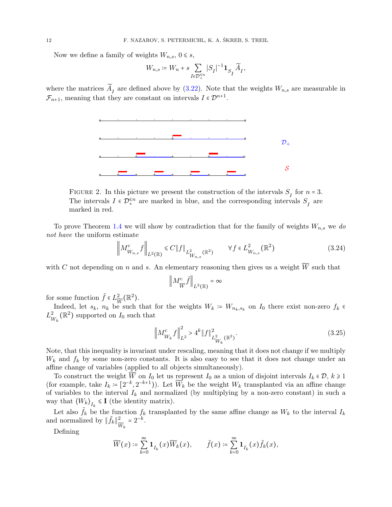Now we define a family of weights  $W_{n,s}$ ,  $0 \le s$ ,

$$
W_{n,s}\coloneqq W_n+s\sum_{I\in\mathcal{D}_+^{\leq n}}|S_I|^{-1}{\bf 1}_{S_I}\widetilde A_I,
$$

where the matrices  $\widetilde{A}_I$  are defined above by [\(3.22\)](#page-10-1). Note that the weights  $W_{n,s}$  are measurable in  $\mathcal{F}_{n+1}$ , meaning that they are constant on intervals  $I \in \mathcal{D}^{n+1}$ .



FIGURE 2. In this picture we present the construction of the intervals  $S_I$  for  $n = 3$ . The intervals  $I \in \mathcal{D}_+^{\leq n}$  are marked in blue, and the corresponding intervals  $S_I$  are marked in red.

To prove Theorem [1.4](#page-2-4) we will show by contradiction that for the family of weights  $W_{n,s}$  we do not have the uniform estimate

$$
\left\| M_{W_{n,s}}^{\text{c}} f \right\|_{L^2(\mathbb{R})} \leq C \| f \|_{L^2_{W_{n,s}}(\mathbb{R}^2)} \qquad \forall f \in L^2_{W_{n,s}}(\mathbb{R}^2)
$$
\n(3.24)

with C not depending on n and s. An elementary reasoning then gives us a weight  $\widetilde{W}$  such that

<span id="page-11-1"></span><span id="page-11-0"></span>
$$
\Big\|M^{\mathrm{c}}_{\widetilde{W}}\widetilde{f}\Big\|_{L^2(\mathbb{R})}=\infty
$$

for some function  $\tilde{f} \in L^2_{\widetilde{W}}(\mathbb{R}^2)$ .

Indeed, let  $s_k$ ,  $n_k$  be such that for the weights  $W_k = W_{n_k, s_k}$  on  $I_0$  there exist non-zero  $f_k$  $L^2_{\nu}$  $\frac{2}{W_k}(\mathbb{R}^2)$  supported on  $I_0$  such that

$$
\left\| M_{W_k}^{\rm c} f \right\|_{L^2}^2 > 4^k \| f \|_{L^2_{W_k}(\mathbb{R}^2)}^2.
$$
\n(3.25)

Note, that this inequality is invariant under rescaling, meaning that it does not change if we multiply  $W_k$  and  $f_k$  by some non-zero constants. It is also easy to see that it does not change under an affine change of variables (applied to all objects simultaneously).

To construct the weight  $\tilde{W}$  on  $I_0$  let us represent  $I_0$  as a union of disjoint intervals  $I_k \in \mathcal{D}$ ,  $k \geq 1$ (for example, take  $I_k = [2^{-k}, 2^{-k+1})$ ). Let  $\widetilde{W}_k$  be the weight  $W_k$  transplanted via an affine change of variables to the interval  $I_k$  and normalized (by multiplying by a non-zero constant) in such a way that  $\langle W_k \rangle_{I_k} \leq \mathbf{I}$  (the identity matrix).

Let also  $\tilde{f}_k$  be the function  $f_k$  transplanted by the same affine change as  $W_k$  to the interval  $I_k$ and normalized by  $\|\tilde{f}_k\|_{\bar{v}}^2$  $\frac{2}{\widetilde{W}_k} = 2^{-k}.$ 

Defining

$$
\widetilde{W}(x) \coloneqq \sum_{k=0}^{\infty} \mathbf{1}_{I_k}(x) \widetilde{W}_k(x), \qquad \widetilde{f}(x) \coloneqq \sum_{k=0}^{\infty} \mathbf{1}_{I_k}(x) \widetilde{f}_k(x),
$$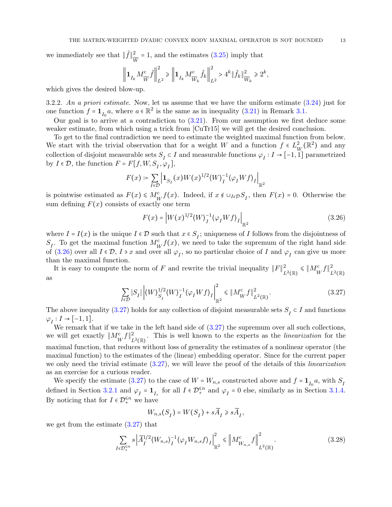we immediately see that  $\|\tilde{f}\|_{\infty}^2$  $\frac{2}{\widetilde{W}}$  = 1, and the estimates [\(3.25\)](#page-11-0) imply that

$$
\left\| \mathbf{1}_{I_k} M_{\widetilde{W}}^c \widetilde{f} \right\|_{L^2}^2 \ge \left\| \mathbf{1}_{I_k} M_{\widetilde{W}_k}^c \widetilde{f}_k \right\|_{L^2}^2 > 4^k \|\widetilde{f}_k\|_{\widetilde{W}_k}^2 \ge 2^k,
$$

which gives the desired blow-up.

3.2.2. An a priori estimate. Now, let us assume that we have the uniform estimate [\(3.24\)](#page-11-1) just for one function  $f = \mathbf{1}_{I_0} a$ , where  $a \in \mathbb{R}^2$  is the same as in inequality [\(3.21\)](#page-10-2) in Remark [3.1.](#page-10-3)

Our goal is to arrive at a contradiction to  $(3.21)$ . From our assumption we first deduce some weaker estimate, from which using a trick from [\[CuTr15\]](#page-14-1) we will get the desired conclusion.

To get to the final contradiction we need to estimate the weighted maximal function from below. We start with the trivial observation that for a weight W and a function  $f \in L^2_{\nu}$  $\frac{2}{W}(\mathbb{R}^2)$  and any collection of disjoint measurable sets  $S_I \subset I$  and measurable functions  $\varphi_I : I \to [-1,1]$  parametrized by  $I \in \mathcal{D}$ , the function  $F = F[f, W, S_I, \varphi_I],$ 

$$
F(x) \coloneqq \sum_{I \in \mathcal{D}} \left| \mathbf{1}_{S_I}(x) W(x)^{1/2} \langle W \rangle_I^{-1} \langle \varphi_I W f \rangle_I \right|_{\mathbb{R}^2}
$$

is pointwise estimated as  $F(x) \leq M_W^c f(x)$ . Indeed, if  $x \notin \bigcup_{I \in \mathcal{D}} S_I$ , then  $F(x) = 0$ . Otherwise the sum defining  $F(x)$  consists of exactly one term

<span id="page-12-1"></span><span id="page-12-0"></span>
$$
F(x) = \left| W(x)^{1/2} \langle W \rangle_I^{-1} \langle \varphi_I W f \rangle_I \right|_{\mathbb{R}^2}
$$
\n(3.26)

where  $I = I(x)$  is the unique  $I \in \mathcal{D}$  such that  $x \in S_I$ ; uniqueness of I follows from the disjointness of  $S_I$ . To get the maximal function  $M_W^c f(x)$ , we need to take the supremum of the right hand side of [\(3.26\)](#page-12-0) over all  $I \in \mathcal{D}$ ,  $I \ni x$  and over all  $\varphi_I$ , so no particular choice of  $I$  and  $\varphi_I$  can give us more than the maximal function.

It is easy to compute the norm of F and rewrite the trivial inequality  $||F||_F^2$  $\frac{2}{L^2(\mathbb{R})} \leqslant \left\| M_W^{\text{c}} f \right\|_L^2$  $L^2(\mathbb{R})$ as

$$
\sum_{I \in \mathcal{D}} |S_I| \left| \langle W \rangle_{S_I}^{1/2} \langle W \rangle_I^{-1} \langle \varphi_I W f \rangle_I \right|_{\mathbb{R}^2}^2 \leq \| M_W^{\text{c}} f \|_{L^2(\mathbb{R})}^2. \tag{3.27}
$$

The above inequality [\(3.27\)](#page-12-1) holds for any collection of disjoint measurable sets  $S_I \subset I$  and functions  $\varphi_I: I \to [-1,1].$ 

We remark that if we take in the left hand side of  $(3.27)$  the supremum over all such collections, we will get exactly  $||M_W^{\text{c}}f||_L^2$  $\mathbb{L}^2(\mathbb{R})$ . This is well known to the experts as the *linearization* for the maximal function, that reduces without loss of generality the estimates of a nonlinear operator (the maximal function) to the estimates of the (linear) embedding operator. Since for the current paper we only need the trivial estimate  $(3.27)$ , we will leave the proof of the details of this *linearization* as an exercise for a curious reader.

We specify the estimate [\(3.27\)](#page-12-1) to the case of  $W = W_{n,s}$  constructed above and  $f = \mathbf{1}_{I_0} a$ , with  $S_I$ defined in Section [3.2.1](#page-10-4) and  $\varphi_I = \mathbf{1}_{I_+}$  for all  $I \in \mathcal{D}_+^{\leq n}$  and  $\varphi_I = 0$  else, similarly as in Section [3.1.4.](#page-9-8) By noticing that for  $I\in\mathcal{D}_+^{\leq n}$  we have

<span id="page-12-2"></span>
$$
W_{n,s}(S_I)=W(S_I)+s\widetilde A_I\geqslant s\widetilde A_I,
$$

we get from the estimate [\(3.27\)](#page-12-1) that

$$
\sum_{I \in \mathcal{D}_{+}^{\leq n}} s \left| \widetilde{A}_{I}^{1/2} \langle W_{n,s} \rangle_{I}^{-1} \langle \varphi_{I} W_{n,s} f \rangle_{I} \right|_{\mathbb{R}^{2}}^{2} \leq \left| M_{W_{n,s}}^{c} f \right|_{L^{2}(\mathbb{R})}^{2}.
$$
 (3.28)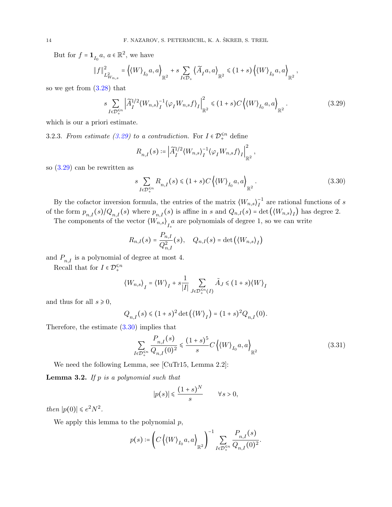But for  $f = \mathbf{1}_{I_0} a$ ,  $a \in \mathbb{R}^2$ , we have

$$
\left\|f\right\|_{L^2_{W_{n,s}}}^2=\left\langle \left\langle W\right\rangle_{I_0}a,a\right\rangle_{\mathbb{R}^2}+s\sum_{I\in\mathcal{D}_+}\left\langle\widetilde{A}_I a,a\right\rangle_{\mathbb{R}^2}\leqslant (1+s)\left\langle \left\langle W\right\rangle_{I_0}a,a\right\rangle_{\mathbb{R}^2},
$$

so we get from [\(3.28\)](#page-12-2) that

$$
s \sum_{I \in \mathcal{D}_+^{\leq n}} \left| \widetilde{A}_I^{1/2} \langle W_{n,s} \rangle_I^{-1} \langle \varphi_I W_{n,s} f \rangle_I \right|_{\mathbb{R}^2}^2 \leq (1+s) C \left\langle \langle W \rangle_{I_0} a, a \right\rangle_{\mathbb{R}^2} . \tag{3.29}
$$

which is our a priori estimate.

3.2.3. From estimate [\(3.29\)](#page-13-0) to a contradiction. For  $I \in \mathcal{D}_{+}^{\leq n}$  define

<span id="page-13-0"></span>
$$
R_{n,I}(s) \coloneqq \left| \widetilde{A}_I^{1/2} \langle W_{n,s} \rangle_I^{-1} \langle \varphi_I W_{n,s} f \rangle_I \right|_{\mathbb{R}^2}^2,
$$

so [\(3.29\)](#page-13-0) can be rewritten as

<span id="page-13-1"></span>
$$
s \sum_{I \in \mathcal{D}_+^{\leq n}} R_{n,I}(s) \leq (1+s) C \left\langle \langle W \rangle_{I_0} a, a \right\rangle_{\mathbb{R}^2}.
$$
 (3.30)

By the cofactor inversion formula, the entries of the matrix  $(W_{n,s})_I^{-1}$  $I<sup>-1</sup>$  are rational functions of s of the form  $p_{n,I}(s)/Q_{n,I}(s)$  where  $p_{n,I}(s)$  is affine in s and  $Q_{n,I}(s)$  = det  $(\langle W_{n,s}\rangle_I)$  has degree 2.

The components of the vector  $(W_{n,s})_{I_+}$  are polynomials of degree 1, so we can write

$$
R_{n,I}(s) = \frac{P_{n,I}}{Q_{n,I}^2}(s), \quad Q_{n,I}(s) = \det((W_{n,s})_I)
$$

and  $P_{n,I}$  is a polynomial of degree at most 4.

Recall that for  $I \in \mathcal{D}_+^{\leq n}$ 

$$
\langle W_{n,s}\rangle_I = \langle W \rangle_I + s \frac{1}{|I|} \sum_{J \in \mathcal{D}_+^{\leq n}(I)} \tilde{A}_J \leq (1+s) \langle W \rangle_I
$$

and thus for all  $s \geq 0$ ,

$$
Q_{n,I}(s) \le (1+s)^2 \det \left( \langle W \rangle_I \right) = (1+s)^2 Q_{n,I}(0).
$$

Therefore, the estimate [\(3.30\)](#page-13-1) implies that

$$
\sum_{I \in \mathcal{D}_+^{\leq n}} \frac{P_{n,I}(s)}{Q_{n,I}(0)^2} \leq \frac{(1+s)^5}{s} C \left\langle \langle W \rangle_{I_0} a, a \right\rangle_{\mathbb{R}^2}
$$
\n(3.31)

We need the following Lemma, see [\[CuTr15,](#page-14-1) Lemma 2.2]:

<span id="page-13-3"></span>**Lemma 3.2.** If  $p$  is a polynomial such that

<span id="page-13-2"></span>
$$
|p(s)| \leqslant \frac{(1+s)^N}{s} \qquad \forall s > 0,
$$

then  $|p(0)| \leq e^2 N^2$ .

We apply this lemma to the polynomial  $p$ ,

$$
p(s) \coloneqq \left( C \left\langle \left\langle W \right\rangle_{I_0} a, a \right\rangle_{\mathbb{R}^2} \right)^{-1} \sum_{I \in \mathcal{D}_+^{\leq n}} \frac{P_{n,I}(s)}{Q_{n,I}(0)^2}.
$$